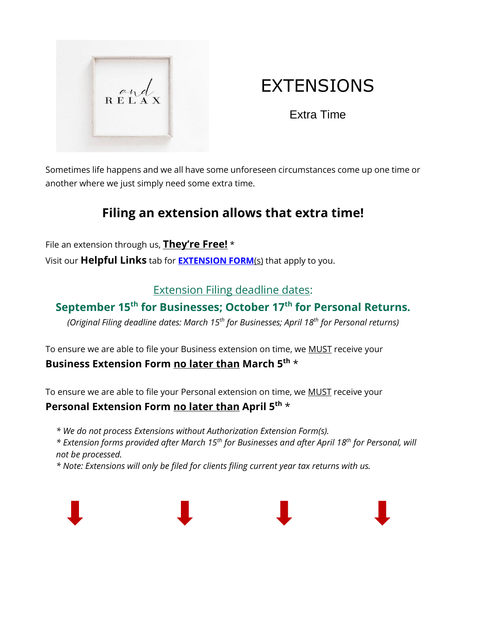

# EXTENSIONS

Extra Time

Sometimes life happens and we all have some unforeseen circumstances come up one time or another where we just simply need some extra time.

# **Filing an extension allows that extra time!**

File an extension through us, **They're Free!** \* Visit our **Helpful Links** tab for **[EXTENSION FORM](https://www.drtaxguy.com/helpful-links)**(s) that apply to you.

#### Extension Filing deadline dates:

## **September 15th for Businesses; October 17 th for Personal Returns.**

*(Original Filing deadline dates: March 15th for Businesses; April 18 th for Personal returns)*

To ensure we are able to file your Business extension on time, we MUST receive your **Business Extension Form no later than March 5 th** \*

To ensure we are able to file your Personal extension on time, we MUST receive your

#### **Personal Extension Form no later than April 5 th** \*

*\* We do not process Extensions without Authorization Extension Form(s).*

*\* Extension forms provided after March 15th for Businesses and after April 18 th for Personal, will not be processed.*

*\* Note: Extensions will only be filed for clients filing current year tax returns with us.*